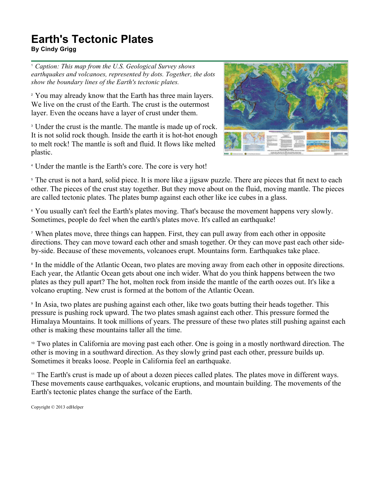## **Earth's Tectonic Plates**

**By Cindy Grigg**

<sup>1</sup> *Caption: This map from the U.S. Geological Survey shows earthquakes and volcanoes, represented by dots. Together, the dots show the boundary lines of the Earth's tectonic plates.*

<sup>2</sup> You may already know that the Earth has three main layers. We live on the crust of the Earth. The crust is the outermost layer. Even the oceans have a layer of crust under them.

<sup>3</sup> Under the crust is the mantle. The mantle is made up of rock. It is not solid rock though. Inside the earth it is hot-hot enough to melt rock! The mantle is soft and fluid. It flows like melted plastic.



<sup>4</sup> Under the mantle is the Earth's core. The core is very hot!

<sup>5</sup> The crust is not a hard, solid piece. It is more like a jigsaw puzzle. There are pieces that fit next to each other. The pieces of the crust stay together. But they move about on the fluid, moving mantle. The pieces are called tectonic plates. The plates bump against each other like ice cubes in a glass.

<sup>6</sup> You usually can't feel the Earth's plates moving. That's because the movement happens very slowly. Sometimes, people do feel when the earth's plates move. It's called an earthquake!

<sup>7</sup> When plates move, three things can happen. First, they can pull away from each other in opposite directions. They can move toward each other and smash together. Or they can move past each other sideby-side. Because of these movements, volcanoes erupt. Mountains form. Earthquakes take place.

<sup>8</sup> In the middle of the Atlantic Ocean, two plates are moving away from each other in opposite directions. Each year, the Atlantic Ocean gets about one inch wider. What do you think happens between the two plates as they pull apart? The hot, molten rock from inside the mantle of the earth oozes out. It's like a volcano erupting. New crust is formed at the bottom of the Atlantic Ocean.

<sup>9</sup> In Asia, two plates are pushing against each other, like two goats butting their heads together. This pressure is pushing rock upward. The two plates smash against each other. This pressure formed the Himalaya Mountains. It took millions of years. The pressure of these two plates still pushing against each other is making these mountains taller all the time.

<sup>10</sup> Two plates in California are moving past each other. One is going in a mostly northward direction. The other is moving in a southward direction. As they slowly grind past each other, pressure builds up. Sometimes it breaks loose. People in California feel an earthquake.

<sup>11</sup> The Earth's crust is made up of about a dozen pieces called plates. The plates move in different ways. These movements cause earthquakes, volcanic eruptions, and mountain building. The movements of the Earth's tectonic plates change the surface of the Earth.

Copyright © 2013 edHelper